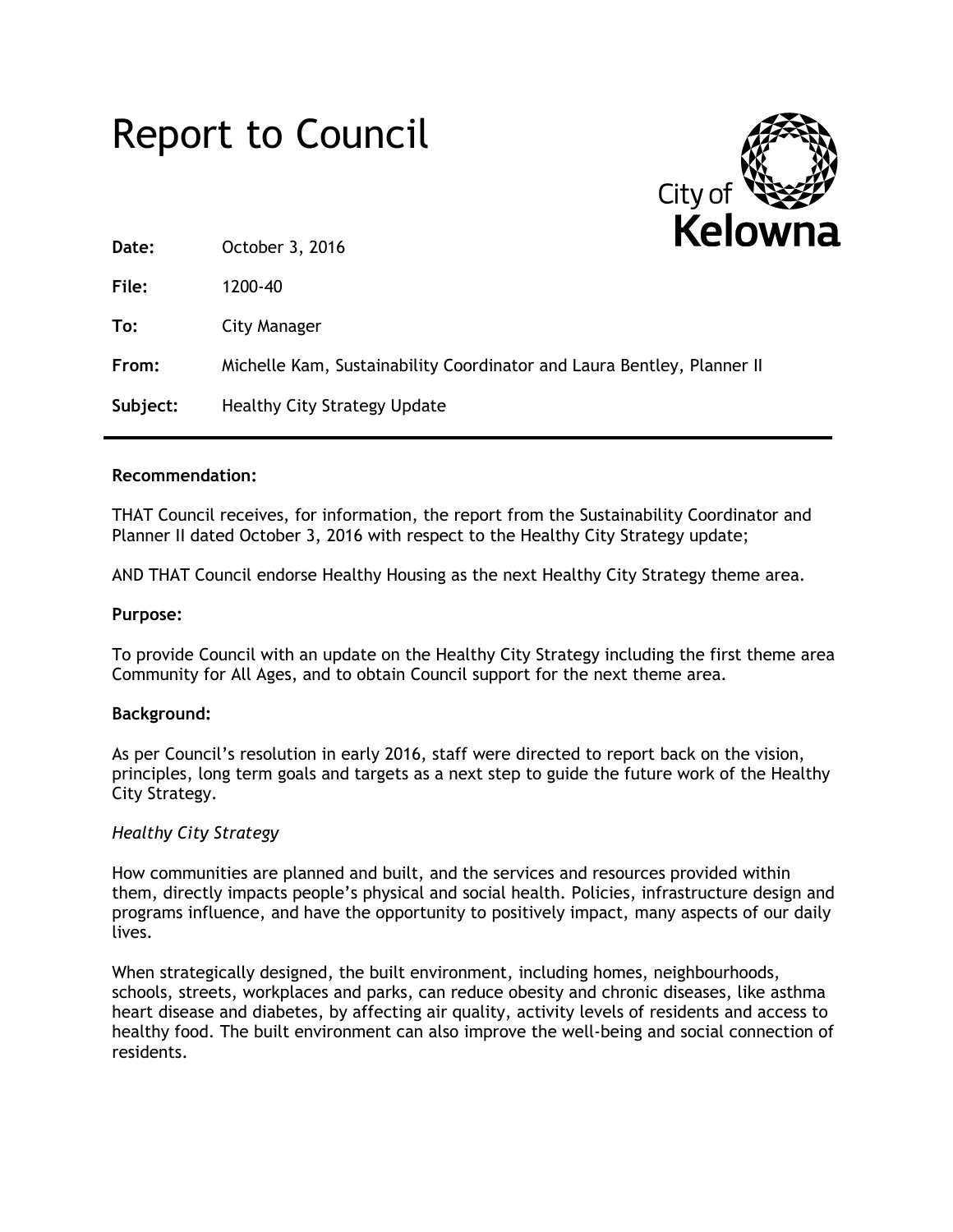# Report to Council



| Date:    | 1 N. L. IV V<br>October 3, 2016                                        |
|----------|------------------------------------------------------------------------|
| File:    | 1200-40                                                                |
| To:      | City Manager                                                           |
| From:    | Michelle Kam, Sustainability Coordinator and Laura Bentley, Planner II |
| Subject: | <b>Healthy City Strategy Update</b>                                    |

## **Recommendation:**

THAT Council receives, for information, the report from the Sustainability Coordinator and Planner II dated October 3, 2016 with respect to the Healthy City Strategy update;

AND THAT Council endorse Healthy Housing as the next Healthy City Strategy theme area.

#### **Purpose:**

To provide Council with an update on the Healthy City Strategy including the first theme area Community for All Ages, and to obtain Council support for the next theme area.

## **Background:**

As per Council's resolution in early 2016, staff were directed to report back on the vision, principles, long term goals and targets as a next step to guide the future work of the Healthy City Strategy.

## *Healthy City Strategy*

How communities are planned and built, and the services and resources provided within them, directly impacts people's physical and social health. Policies, infrastructure design and programs influence, and have the opportunity to positively impact, many aspects of our daily lives.

When strategically designed, the built environment, including homes, neighbourhoods, schools, streets, workplaces and parks, can reduce obesity and chronic diseases, like asthma heart disease and diabetes, by affecting air quality, activity levels of residents and access to healthy food. The built environment can also improve the well-being and social connection of residents.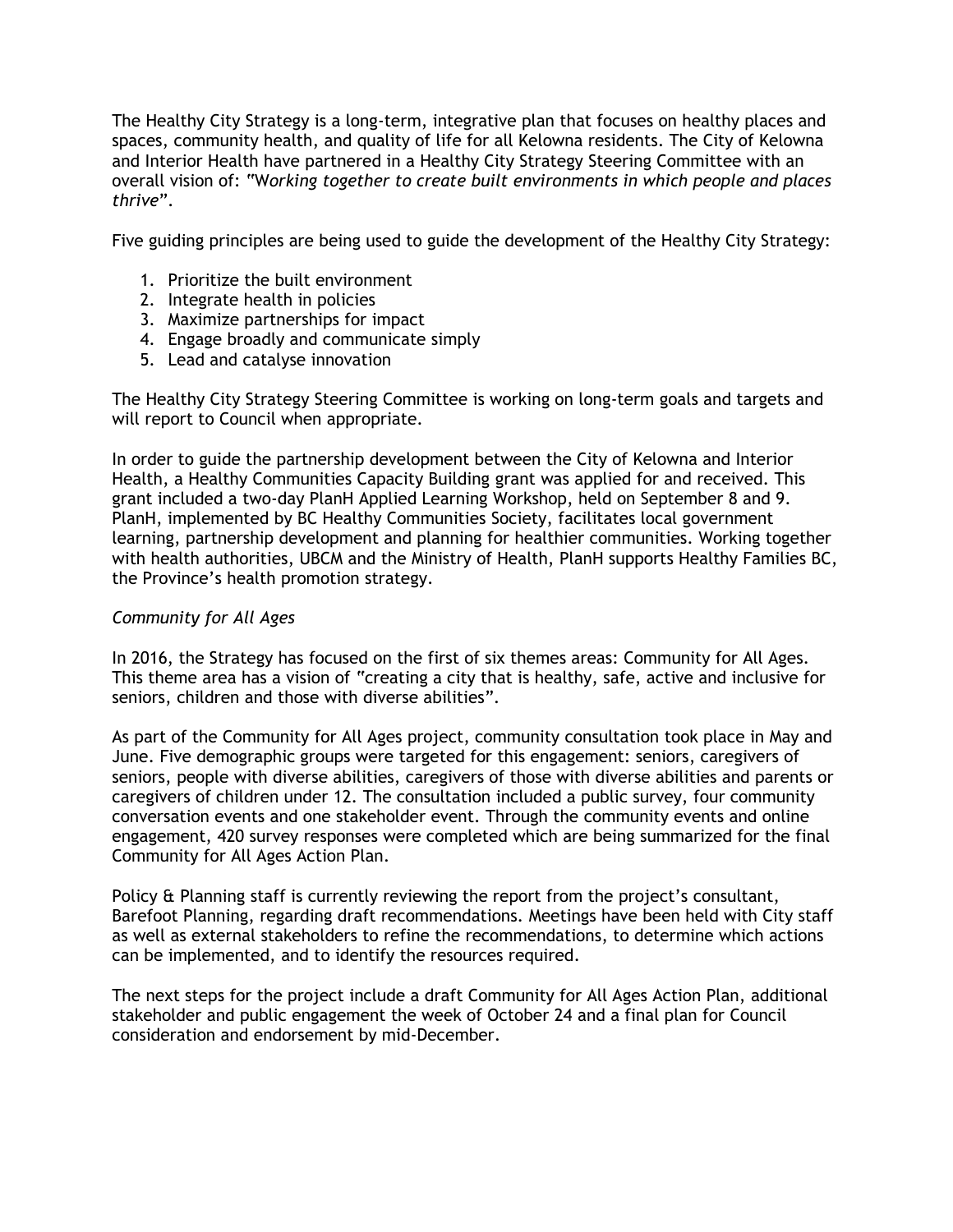The Healthy City Strategy is a long-term, integrative plan that focuses on healthy places and spaces, community health, and quality of life for all Kelowna residents. The City of Kelowna and Interior Health have partnered in a Healthy City Strategy Steering Committee with an overall vision of: "W*orking together to create built environments in which people and places thrive*".

Five guiding principles are being used to guide the development of the Healthy City Strategy:

- 1. Prioritize the built environment
- 2. Integrate health in policies
- 3. Maximize partnerships for impact
- 4. Engage broadly and communicate simply
- 5. Lead and catalyse innovation

The Healthy City Strategy Steering Committee is working on long-term goals and targets and will report to Council when appropriate.

In order to guide the partnership development between the City of Kelowna and Interior Health, a Healthy Communities Capacity Building grant was applied for and received. This grant included a two-day PlanH Applied Learning Workshop, held on September 8 and 9. PlanH, implemented by BC Healthy Communities Society, facilitates local government learning, partnership development and planning for healthier communities. Working together with health authorities, UBCM and the Ministry of Health, PlanH supports Healthy Families BC, the Province's health promotion strategy.

## *Community for All Ages*

In 2016, the Strategy has focused on the first of six themes areas: Community for All Ages. This theme area has a vision of "creating a city that is healthy, safe, active and inclusive for seniors, children and those with diverse abilities".

As part of the Community for All Ages project, community consultation took place in May and June. Five demographic groups were targeted for this engagement: seniors, caregivers of seniors, people with diverse abilities, caregivers of those with diverse abilities and parents or caregivers of children under 12. The consultation included a public survey, four community conversation events and one stakeholder event. Through the community events and online engagement, 420 survey responses were completed which are being summarized for the final Community for All Ages Action Plan.

Policy & Planning staff is currently reviewing the report from the project's consultant, Barefoot Planning, regarding draft recommendations. Meetings have been held with City staff as well as external stakeholders to refine the recommendations, to determine which actions can be implemented, and to identify the resources required.

The next steps for the project include a draft Community for All Ages Action Plan, additional stakeholder and public engagement the week of October 24 and a final plan for Council consideration and endorsement by mid-December.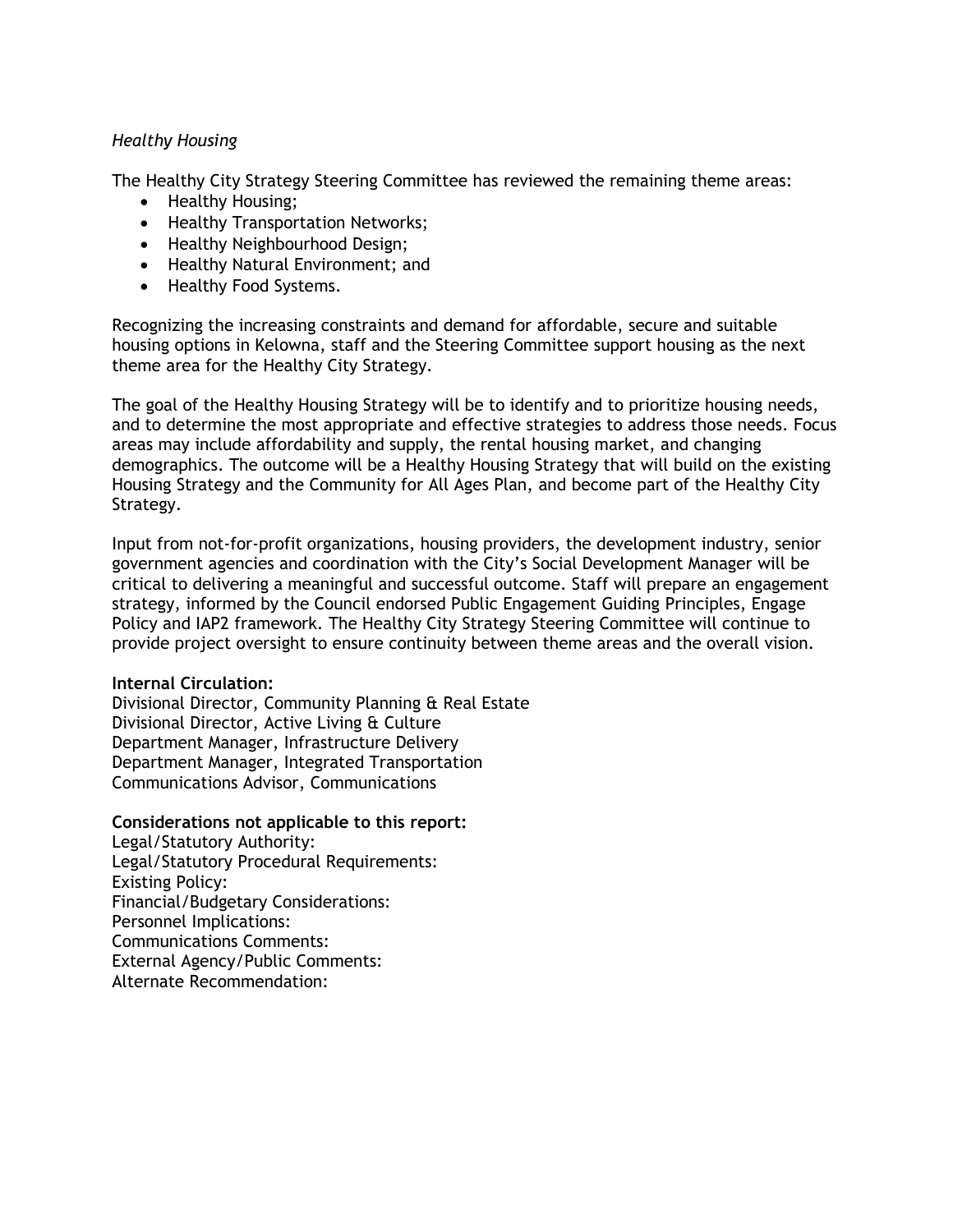## *Healthy Housing*

The Healthy City Strategy Steering Committee has reviewed the remaining theme areas:

- Healthy Housing;
- Healthy Transportation Networks;
- Healthy Neighbourhood Design;
- Healthy Natural Environment; and
- Healthy Food Systems.

Recognizing the increasing constraints and demand for affordable, secure and suitable housing options in Kelowna, staff and the Steering Committee support housing as the next theme area for the Healthy City Strategy.

The goal of the Healthy Housing Strategy will be to identify and to prioritize housing needs, and to determine the most appropriate and effective strategies to address those needs. Focus areas may include affordability and supply, the rental housing market, and changing demographics. The outcome will be a Healthy Housing Strategy that will build on the existing Housing Strategy and the Community for All Ages Plan, and become part of the Healthy City Strategy.

Input from not-for-profit organizations, housing providers, the development industry, senior government agencies and coordination with the City's Social Development Manager will be critical to delivering a meaningful and successful outcome. Staff will prepare an engagement strategy, informed by the Council endorsed Public Engagement Guiding Principles, Engage Policy and IAP2 framework. The Healthy City Strategy Steering Committee will continue to provide project oversight to ensure continuity between theme areas and the overall vision.

## **Internal Circulation:**

Divisional Director, Community Planning & Real Estate Divisional Director, Active Living & Culture Department Manager, Infrastructure Delivery Department Manager, Integrated Transportation Communications Advisor, Communications

## **Considerations not applicable to this report:**

Legal/Statutory Authority: Legal/Statutory Procedural Requirements: Existing Policy: Financial/Budgetary Considerations: Personnel Implications: Communications Comments: External Agency/Public Comments: Alternate Recommendation: